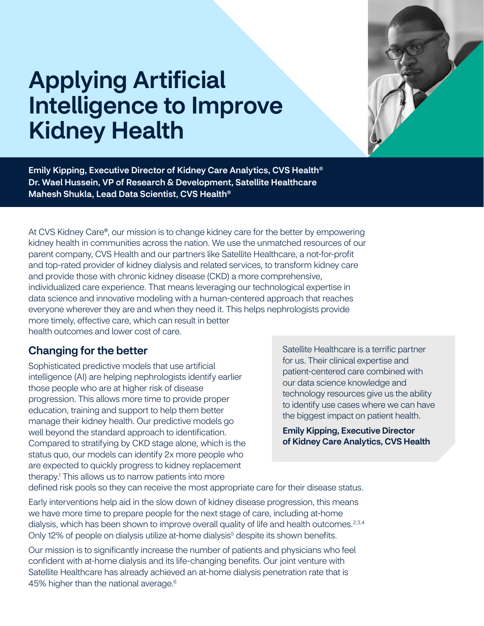# Applying Artificial Intelligence to Improve Kidney Health



Emily Kipping, Executive Director of Kidney Care Analytics, CVS Health® Dr. Wael Hussein, VP of Research & Development, Satellite Healthcare Mahesh Shukla, Lead Data Scientist, CVS Health®

At CVS Kidney Care®, our mission is to change kidney care for the better by empowering kidney health in communities across the nation. We use the unmatched resources of our parent company, CVS Health and our partners like Satellite Healthcare, a not-for-profit and top-rated provider of kidney dialysis and related services, to transform kidney care and provide those with chronic kidney disease (CKD) a more comprehensive, individualized care experience. That means leveraging our technological expertise in data science and innovative modeling with a human-centered approach that reaches everyone wherever they are and when they need it. This helps nephrologists provide more timely, effective care, which can result in better health outcomes and lower cost of care.

# Changing for the better

Sophisticated predictive models that use artificial intelligence (AI) are helping nephrologists identify earlier those people who are at higher risk of disease progression. This allows more time to provide proper education, training and support to help them better manage their kidney health. Our predictive models go well beyond the standard approach to identification. Compared to stratifying by CKD stage alone, which is the status quo, our models can identify 2x more people who are expected to quickly progress to kidney replacement therapy.1 This allows us to narrow patients into more

Satellite Healthcare is a terrific partner for us. Their clinical expertise and patient-centered care combined with our data science knowledge and technology resources give us the ability to identify use cases where we can have the biggest impact on patient health.

Emily Kipping, Executive Director of Kidney Care Analytics, CVS Health

defined risk pools so they can receive the most appropriate care for their disease status.

Early interventions help aid in the slow down of kidney disease progression, this means we have more time to prepare people for the next stage of care, including at-home dialysis, which has been shown to improve overall quality of life and health outcomes.<sup>2,3,4</sup> Only 12% of people on dialysis utilize at-home dialysis<sup>5</sup> despite its shown benefits.

Our mission is to significantly increase the number of patients and physicians who feel confident with at-home dialysis and its life-changing benefits. Our joint venture with Satellite Healthcare has already achieved an at-home dialysis penetration rate that is 45% higher than the national average.<sup>6</sup>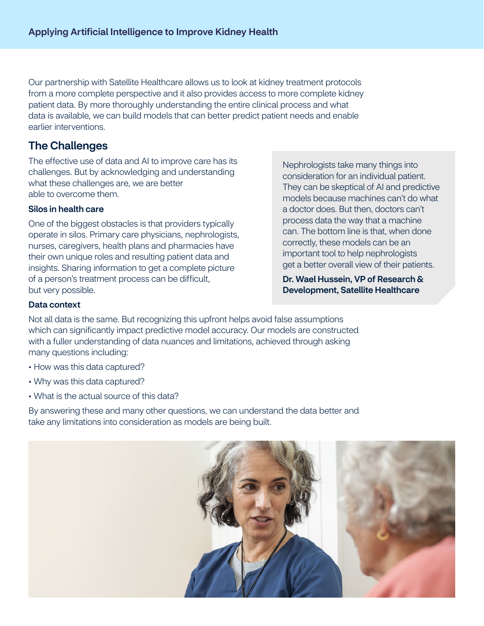Our partnership with Satellite Healthcare allows us to look at kidney treatment protocols from a more complete perspective and it also provides access to more complete kidney patient data. By more thoroughly understanding the entire clinical process and what data is available, we can build models that can better predict patient needs and enable earlier interventions.

# **The Challenges**

The effective use of data and AI to improve care has its challenges. But by acknowledging and understanding what these challenges are, we are better able to overcome them.

#### Silos in health care

One of the biggest obstacles is that providers typically operate in silos. Primary care physicians, nephrologists, nurses, caregivers, health plans and pharmacies have their own unique roles and resulting patient data and insights. Sharing information to get a complete picture of a person's treatment process can be difficult, but very possible.

Nephrologists take many things into consideration for an individual patient. They can be skeptical of AI and predictive models because machines can't do what a doctor does. But then, doctors can't process data the way that a machine can. The bottom line is that, when done correctly, these models can be an important tool to help nephrologists get a better overall view of their patients.

Dr. Wael Hussein, VP of Research & Development, Satellite Healthcare

#### Data context

Not all data is the same. But recognizing this upfront helps avoid false assumptions which can significantly impact predictive model accuracy. Our models are constructed with a fuller understanding of data nuances and limitations, achieved through asking many questions including:

- How was this data captured?
- Why was this data captured?
- What is the actual source of this data?

By answering these and many other questions, we can understand the data better and take any limitations into consideration as models are being built.

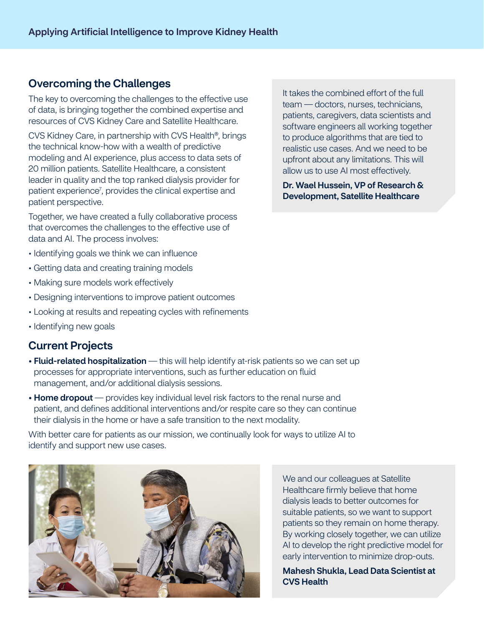### Overcoming the Challenges

The key to overcoming the challenges to the effective use of data, is bringing together the combined expertise and resources of CVS Kidney Care and Satellite Healthcare.

CVS Kidney Care, in partnership with CVS Health®, brings the technical know-how with a wealth of predictive modeling and AI experience, plus access to data sets of 20 million patients. Satellite Healthcare, a consistent leader in quality and the top ranked dialysis provider for patient experience<sup>7</sup>, provides the clinical expertise and patient perspective.

Together, we have created a fully collaborative process that overcomes the challenges to the effective use of data and AI. The process involves:

- Identifying goals we think we can influence
- Getting data and creating training models
- Making sure models work effectively
- Designing interventions to improve patient outcomes
- Looking at results and repeating cycles with refinements
- Identifying new goals

#### Current Projects

- Fluid-related hospitalization this will help identify at-risk patients so we can set up processes for appropriate interventions, such as further education on fluid management, and/or additional dialysis sessions.
- Home dropout provides key individual level risk factors to the renal nurse and patient, and defines additional interventions and/or respite care so they can continue their dialysis in the home or have a safe transition to the next modality.

With better care for patients as our mission, we continually look for ways to utilize AI to identify and support new use cases.



It takes the combined effort of the full team — doctors, nurses, technicians, patients, caregivers, data scientists and software engineers all working together to produce algorithms that are tied to realistic use cases. And we need to be upfront about any limitations. This will allow us to use AI most effectively.

Dr. Wael Hussein, VP of Research & Development, Satellite Healthcare

We and our colleagues at Satellite Healthcare firmly believe that home dialysis leads to better outcomes for suitable patients, so we want to support patients so they remain on home therapy. By working closely together, we can utilize AI to develop the right predictive model for early intervention to minimize drop-outs.

Mahesh Shukla, Lead Data Scientist at CVS Health